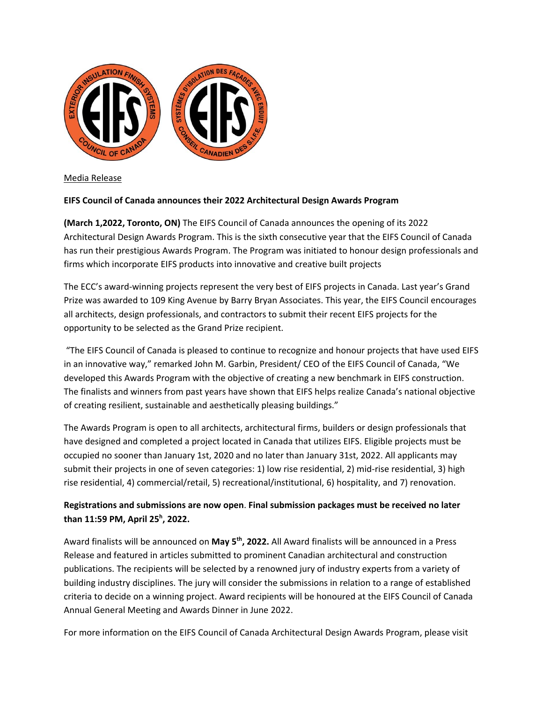

Media Release

## **EIFS Council of Canada announces their 2022 Architectural Design Awards Program**

**(March 1,2022, Toronto, ON)** The EIFS Council of Canada announces the opening of its 2022 Architectural Design Awards Program. This is the sixth consecutive year that the EIFS Council of Canada has run their prestigious Awards Program. The Program was initiated to honour design professionals and firms which incorporate EIFS products into innovative and creative built projects

The ECC's award‐winning projects represent the very best of EIFS projects in Canada. Last year's Grand Prize was awarded to 109 King Avenue by Barry Bryan Associates. This year, the EIFS Council encourages all architects, design professionals, and contractors to submit their recent EIFS projects for the opportunity to be selected as the Grand Prize recipient.

"The EIFS Council of Canada is pleased to continue to recognize and honour projects that have used EIFS in an innovative way," remarked John M. Garbin, President/ CEO of the EIFS Council of Canada, "We developed this Awards Program with the objective of creating a new benchmark in EIFS construction. The finalists and winners from past years have shown that EIFS helps realize Canada's national objective of creating resilient, sustainable and aesthetically pleasing buildings."

The Awards Program is open to all architects, architectural firms, builders or design professionals that have designed and completed a project located in Canada that utilizes EIFS. Eligible projects must be occupied no sooner than January 1st, 2020 and no later than January 31st, 2022. All applicants may submit their projects in one of seven categories: 1) low rise residential, 2) mid‐rise residential, 3) high rise residential, 4) commercial/retail, 5) recreational/institutional, 6) hospitality, and 7) renovation.

## **Registrations and submissions are now open**. **Final submission packages must be received no later than 11:59 PM, April 25h , 2022.**

Award finalists will be announced on **May 5th, 2022.** All Award finalists will be announced in a Press Release and featured in articles submitted to prominent Canadian architectural and construction publications. The recipients will be selected by a renowned jury of industry experts from a variety of building industry disciplines. The jury will consider the submissions in relation to a range of established criteria to decide on a winning project. Award recipients will be honoured at the EIFS Council of Canada Annual General Meeting and Awards Dinner in June 2022.

For more information on the EIFS Council of Canada Architectural Design Awards Program, please visit